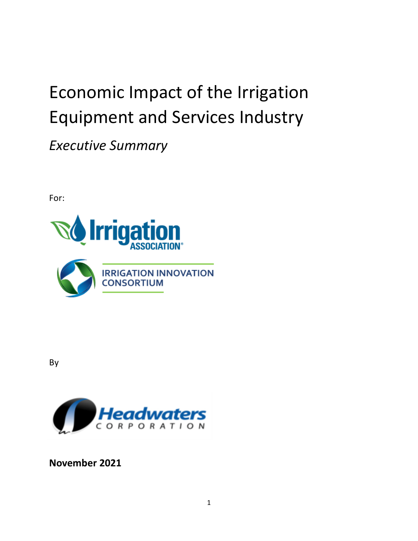# Economic Impact of the Irrigation Equipment and Services Industry

*Executive Summary*

For:



By



**November 2021**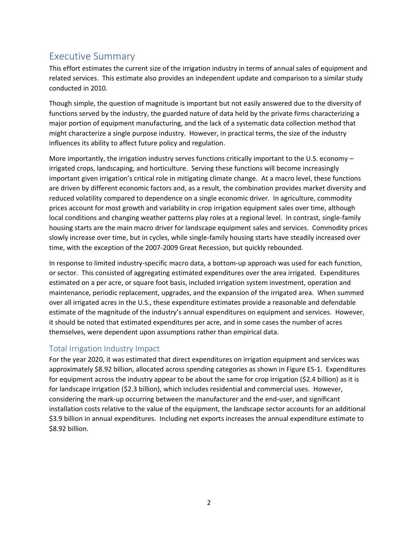## Executive Summary

This effort estimates the current size of the irrigation industry in terms of annual sales of equipment and related services. This estimate also provides an independent update and comparison to a similar study conducted in 2010.

Though simple, the question of magnitude is important but not easily answered due to the diversity of functions served by the industry, the guarded nature of data held by the private firms characterizing a major portion of equipment manufacturing, and the lack of a systematic data collection method that might characterize a single purpose industry. However, in practical terms, the size of the industry influences its ability to affect future policy and regulation.

More importantly, the irrigation industry serves functions critically important to the U.S. economy – irrigated crops, landscaping, and horticulture. Serving these functions will become increasingly important given irrigation's critical role in mitigating climate change. At a macro level, these functions are driven by different economic factors and, as a result, the combination provides market diversity and reduced volatility compared to dependence on a single economic driver. In agriculture, commodity prices account for most growth and variability in crop irrigation equipment sales over time, although local conditions and changing weather patterns play roles at a regional level. In contrast, single-family housing starts are the main macro driver for landscape equipment sales and services. Commodity prices slowly increase over time, but in cycles, while single-family housing starts have steadily increased over time, with the exception of the 2007-2009 Great Recession, but quickly rebounded.

In response to limited industry-specific macro data, a bottom-up approach was used for each function, or sector. This consisted of aggregating estimated expenditures over the area irrigated. Expenditures estimated on a per acre, or square foot basis, included irrigation system investment, operation and maintenance, periodic replacement, upgrades, and the expansion of the irrigated area. When summed over all irrigated acres in the U.S., these expenditure estimates provide a reasonable and defendable estimate of the magnitude of the industry's annual expenditures on equipment and services. However, it should be noted that estimated expenditures per acre, and in some cases the number of acres themselves, were dependent upon assumptions rather than empirical data.

### Total Irrigation Industry Impact

For the year 2020, it was estimated that direct expenditures on irrigation equipment and services was approximately \$8.92 billion, allocated across spending categories as shown in Figure ES-1. Expenditures for equipment across the industry appear to be about the same for crop irrigation (\$2.4 billion) as it is for landscape irrigation (\$2.3 billion), which includes residential and commercial uses. However, considering the mark-up occurring between the manufacturer and the end-user, and significant installation costs relative to the value of the equipment, the landscape sector accounts for an additional \$3.9 billion in annual expenditures. Including net exports increases the annual expenditure estimate to \$8.92 billion.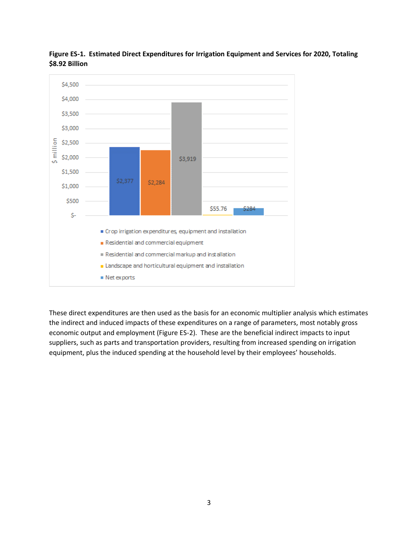

**Figure ES-1. Estimated Direct Expenditures for Irrigation Equipment and Services for 2020, Totaling \$8.92 Billion**

These direct expenditures are then used as the basis for an economic multiplier analysis which estimates the indirect and induced impacts of these expenditures on a range of parameters, most notably gross economic output and employment (Figure ES-2). These are the beneficial indirect impacts to input suppliers, such as parts and transportation providers, resulting from increased spending on irrigation equipment, plus the induced spending at the household level by their employees' households.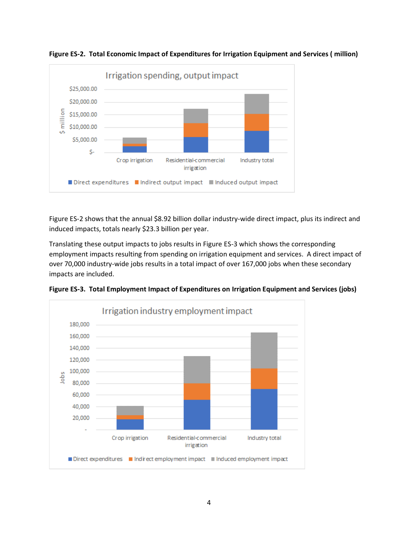

**Figure ES-2. Total Economic Impact of Expenditures for Irrigation Equipment and Services ( million)**

Figure ES-2 shows that the annual \$8.92 billion dollar industry-wide direct impact, plus its indirect and induced impacts, totals nearly \$23.3 billion per year.

Translating these output impacts to jobs results in Figure ES-3 which shows the corresponding employment impacts resulting from spending on irrigation equipment and services. A direct impact of over 70,000 industry-wide jobs results in a total impact of over 167,000 jobs when these secondary impacts are included.



**Figure ES-3. Total Employment Impact of Expenditures on Irrigation Equipment and Services (jobs)**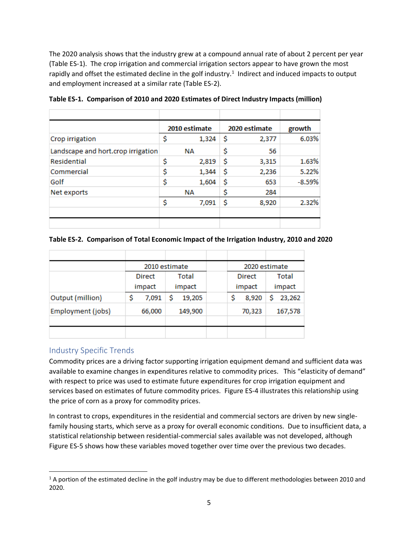The 2020 analysis shows that the industry grew at a compound annual rate of about 2 percent per year (Table ES-1). The crop irrigation and commercial irrigation sectors appear to have grown the most rapidly and offset the estimated decline in the golf industry.<sup>1</sup> Indirect and induced impacts to output and employment increased at a similar rate (Table ES-2).

|                                    | 2010 estimate |       | 2020 estimate |       | growth   |
|------------------------------------|---------------|-------|---------------|-------|----------|
| Crop irrigation                    | \$            | 1,324 | \$            | 2,377 | 6.03%    |
| Landscape and hort.crop irrigation |               | NА    | \$            | 56    |          |
| Residential                        | \$            | 2,819 | \$            | 3,315 | 1.63%    |
| Commercial                         | \$            | 1,344 | \$            | 2,236 | 5.22%    |
| Golf                               | \$            | 1,604 | \$            | 653   | $-8.59%$ |
| Net exports                        |               | NΑ    | \$            | 284   |          |
|                                    | \$            | 7,091 | \$            | 8,920 | 2.32%    |
|                                    |               |       |               |       |          |

**Table ES-1. Comparison of 2010 and 2020 Estimates of Direct Industry Impacts (million)**

#### **Table ES-2. Comparison of Total Economic Impact of the Irrigation Industry, 2010 and 2020**

|                   | 2010 estimate |              | 2020 estimate |             |
|-------------------|---------------|--------------|---------------|-------------|
|                   | <b>Direct</b> | Total        | <b>Direct</b> | Total       |
|                   | impact        | impact       | impact        | impact      |
| Output (million)  | \$<br>7,091   | \$<br>19,205 | \$<br>8,920   | 23,262<br>s |
| Employment (jobs) | 66,000        | 149,900      | 70,323        | 167,578     |
|                   |               |              |               |             |
|                   |               |              |               |             |

#### Industry Specific Trends

Commodity prices are a driving factor supporting irrigation equipment demand and sufficient data was available to examine changes in expenditures relative to commodity prices. This "elasticity of demand" with respect to price was used to estimate future expenditures for crop irrigation equipment and services based on estimates of future commodity prices. Figure ES-4 illustrates this relationship using the price of corn as a proxy for commodity prices.

In contrast to crops, expenditures in the residential and commercial sectors are driven by new singlefamily housing starts, which serve as a proxy for overall economic conditions. Due to insufficient data, a statistical relationship between residential-commercial sales available was not developed, although Figure ES-5 shows how these variables moved together over time over the previous two decades.

<sup>&</sup>lt;sup>1</sup> A portion of the estimated decline in the golf industry may be due to different methodologies between 2010 and 2020.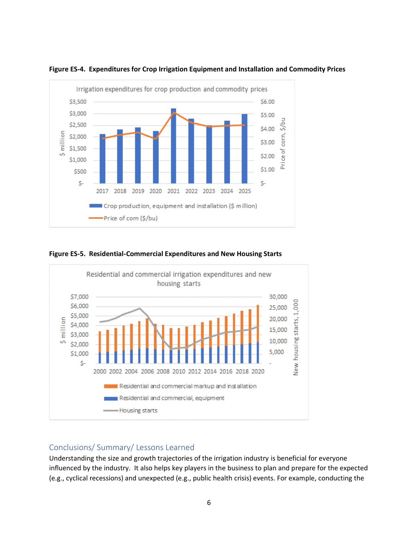



#### **Figure ES-5. Residential-Commercial Expenditures and New Housing Starts**



#### Conclusions/ Summary/ Lessons Learned

Understanding the size and growth trajectories of the irrigation industry is beneficial for everyone influenced by the industry. It also helps key players in the business to plan and prepare for the expected (e.g., cyclical recessions) and unexpected (e.g., public health crisis) events. For example, conducting the